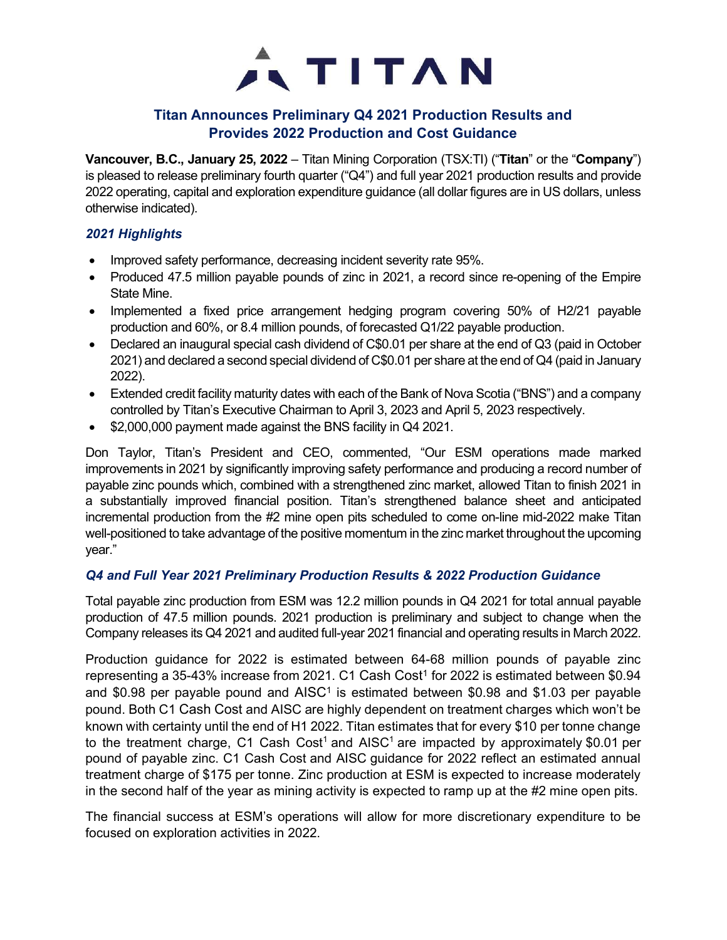

# Titan Announces Preliminary Q4 2021 Production Results and Provides 2022 Production and Cost Guidance

Vancouver, B.C., January 25, 2022 – Titan Mining Corporation (TSX:TI) ("Titan" or the "Company") is pleased to release preliminary fourth quarter ("Q4") and full year 2021 production results and provide 2022 operating, capital and exploration expenditure guidance (all dollar figures are in US dollars, unless otherwise indicated).

## 2021 Highlights

- Improved safety performance, decreasing incident severity rate 95%.
- Produced 47.5 million payable pounds of zinc in 2021, a record since re-opening of the Empire State Mine.
- Implemented a fixed price arrangement hedging program covering 50% of H2/21 payable production and 60%, or 8.4 million pounds, of forecasted Q1/22 payable production.
- Declared an inaugural special cash dividend of C\$0.01 per share at the end of Q3 (paid in October 2021) and declared a second special dividend of C\$0.01 per share at the end of Q4 (paid in January 2022).
- Extended credit facility maturity dates with each of the Bank of Nova Scotia ("BNS") and a company controlled by Titan's Executive Chairman to April 3, 2023 and April 5, 2023 respectively.
- \$2,000,000 payment made against the BNS facility in Q4 2021.

Don Taylor, Titan's President and CEO, commented, "Our ESM operations made marked improvements in 2021 by significantly improving safety performance and producing a record number of payable zinc pounds which, combined with a strengthened zinc market, allowed Titan to finish 2021 in a substantially improved financial position. Titan's strengthened balance sheet and anticipated incremental production from the #2 mine open pits scheduled to come on-line mid-2022 make Titan well-positioned to take advantage of the positive momentum in the zinc market throughout the upcoming year."

### Q4 and Full Year 2021 Preliminary Production Results & 2022 Production Guidance

Total payable zinc production from ESM was 12.2 million pounds in Q4 2021 for total annual payable production of 47.5 million pounds. 2021 production is preliminary and subject to change when the Company releases its Q4 2021 and audited full-year 2021 financial and operating results in March 2022.

Production guidance for 2022 is estimated between 64-68 million pounds of payable zinc representing a 35-43% increase from 2021. C1 Cash Cost<sup>1</sup> for 2022 is estimated between  $$0.94$ and \$0.98 per payable pound and AISC<sup>1</sup> is estimated between \$0.98 and \$1.03 per payable pound. Both C1 Cash Cost and AISC are highly dependent on treatment charges which won't be known with certainty until the end of H1 2022. Titan estimates that for every \$10 per tonne change to the treatment charge, C1 Cash Cost<sup>1</sup> and AISC<sup>1</sup> are impacted by approximately \$0.01 per pound of payable zinc. C1 Cash Cost and AISC guidance for 2022 reflect an estimated annual treatment charge of \$175 per tonne. Zinc production at ESM is expected to increase moderately in the second half of the year as mining activity is expected to ramp up at the #2 mine open pits.

The financial success at ESM's operations will allow for more discretionary expenditure to be focused on exploration activities in 2022.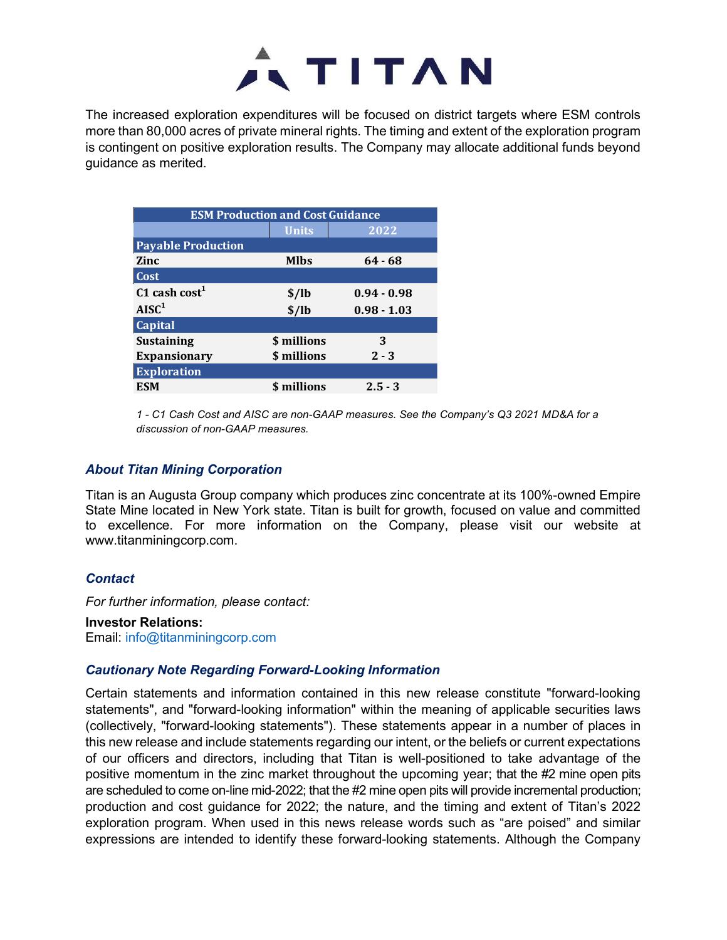

The increased exploration expenditures will be focused on district targets where ESM controls more than 80,000 acres of private mineral rights. The timing and extent of the exploration program is contingent on positive exploration results. The Company may allocate additional funds beyond guidance as merited. This will be focused on district targets where ESM controls<br>tinineral rights. The timing and extent of the exploration program<br>in results. The Company may allocate additional funds beyond<br>nd Cost Guidance<br>Units 2022<br>MIbs 6

|                                                                                                                                         | <b>ATITAN</b>                           |               |                                                                                             |
|-----------------------------------------------------------------------------------------------------------------------------------------|-----------------------------------------|---------------|---------------------------------------------------------------------------------------------|
|                                                                                                                                         |                                         |               |                                                                                             |
|                                                                                                                                         |                                         |               | reased exploration expenditures will be focused on district targets where ESM controls      |
|                                                                                                                                         |                                         |               | an 80,000 acres of private mineral rights. The timing and extent of the exploration program |
|                                                                                                                                         |                                         |               | ngent on positive exploration results. The Company may allocate additional funds beyond     |
|                                                                                                                                         |                                         |               |                                                                                             |
|                                                                                                                                         |                                         |               |                                                                                             |
|                                                                                                                                         |                                         |               |                                                                                             |
|                                                                                                                                         |                                         |               |                                                                                             |
|                                                                                                                                         | <b>ESM Production and Cost Guidance</b> |               |                                                                                             |
|                                                                                                                                         | <b>Units</b>                            | 2022          |                                                                                             |
|                                                                                                                                         | <b>Mlbs</b>                             | $64 - 68$     |                                                                                             |
|                                                                                                                                         |                                         |               |                                                                                             |
|                                                                                                                                         | \$/lb                                   | $0.94 - 0.98$ |                                                                                             |
|                                                                                                                                         | \$/lb                                   | $0.98 - 1.03$ |                                                                                             |
| e as merited.<br><b>Payable Production</b><br><b>Zinc</b><br>Cost<br>$C1$ cash cost <sup>1</sup><br>AISC <sup>1</sup><br><b>Capital</b> |                                         |               |                                                                                             |
|                                                                                                                                         | \$ millions                             | 3             |                                                                                             |
| <b>Sustaining</b><br><b>Expansionary</b>                                                                                                | \$ millions                             | $2 - 3$       |                                                                                             |
| <b>Exploration</b><br><b>ESM</b>                                                                                                        | \$ millions                             | $2.5 - 3$     |                                                                                             |

#### About Titan Mining Corporation

Titan is an Augusta Group company which produces zinc concentrate at its 100%-owned Empire State Mine located in New York state. Titan is built for growth, focused on value and committed to excellence. For more information on the Company, please visit our website at www.titanminingcorp.com.

#### **Contact**

For further information, please contact:

Investor Relations: Email: info@titanminingcorp.com

### Cautionary Note Regarding Forward-Looking Information

Certain statements and information contained in this new release constitute "forward-looking statements", and "forward-looking information" within the meaning of applicable securities laws (collectively, "forward-looking statements"). These statements appear in a number of places in this new release and include statements regarding our intent, or the beliefs or current expectations of our officers and directors, including that Titan is well-positioned to take advantage of the positive momentum in the zinc market throughout the upcoming year; that the #2 mine open pits are scheduled to come on-line mid-2022; that the #2 mine open pits will provide incremental production; production and cost guidance for 2022; the nature, and the timing and extent of Titan's 2022 exploration program. When used in this news release words such as "are poised" and similar expressions are intended to identify these forward-looking statements. Although the Company